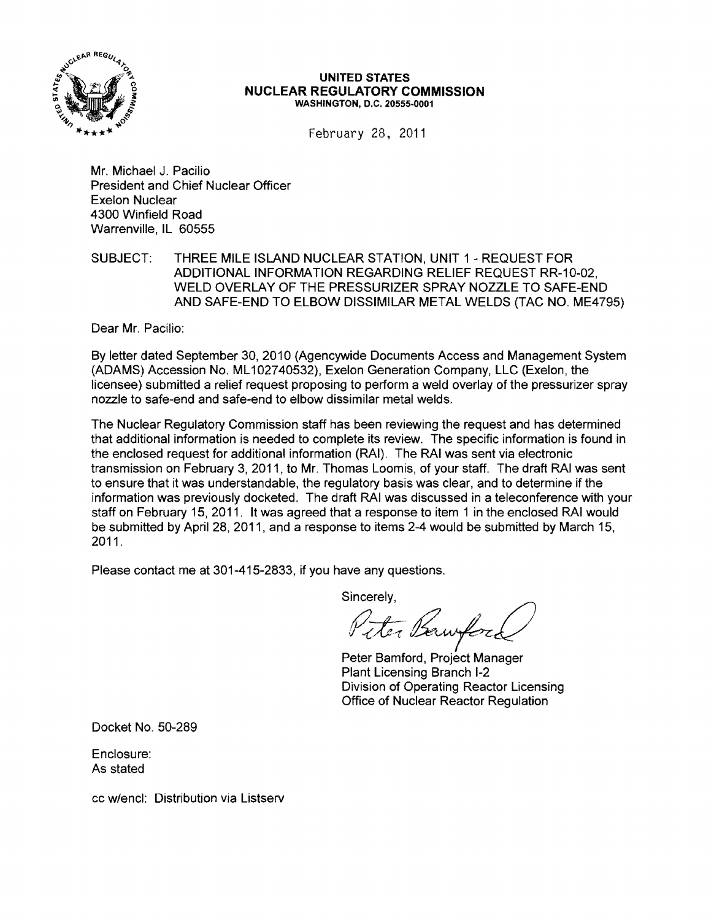

#### **UNITED STATES NUCLEAR REGULATORY COMMISSION** WASHINGTON, D.C. 20555-0001

February 28, 2011

Mr. Michael J. Pacilio President and Chief Nuclear Officer Exelon Nuclear 4300 Winfield Road Warrenville, IL 60555

SUBJECT: THREE MILE ISLAND NUCLEAR STATION, UNIT 1 - REQUEST FOR ADDITIONAL INFORMATION REGARDING RELIEF REQUEST RR-10-02, WELD OVERLAY OF THE PRESSURIZER SPRAY NOZZLE TO SAFE-END AND SAFE-END TO ELBOW DISSIMILAR METAL WELDS (TAC NO. ME4795)

Dear Mr. Pacilio:

By letter dated September 30,2010 (Agencywide Documents Access and Management System (ADAMS) Accession No. ML 102740532), Exelon Generation Company, LLC (Exelon, the licensee) submitted a relief request proposing to perform a weld overlay of the pressurizer spray nozzle to safe-end and safe-end to elbow dissimilar metal welds.

The Nuclear Regulatory Commission staff has been reviewing the request and has determined that additional information is needed to complete its review. The specific information is found in the enclosed request for additional information (RAI). The RAI was sent via electronic transmission on February 3, 2011, to Mr. Thomas Loomis, of your staff. The draft RAI was sent to ensure that it was understandable, the regulatory basis was clear, and to determine if the information was previously docketed. The draft RAI was discussed in a teleconference with your staff on February 15, 2011. It was agreed that a response to item 1 in the enclosed RAI would be submitted by April 28, 2011, and a response to items 2-4 would be submitted by March 15, 2011.

Please contact me at 301-415-2833, if you have any questions.

Sincerely,

Er Bawford

Peter Bamford, Project Manager Plant Licensing Branch 1-2 Division of Operating Reactor Licensing Office of Nuclear Reactor Regulation

Docket No. 50-289

Enclosure: As stated

cc w/encl: Distribution via Listserv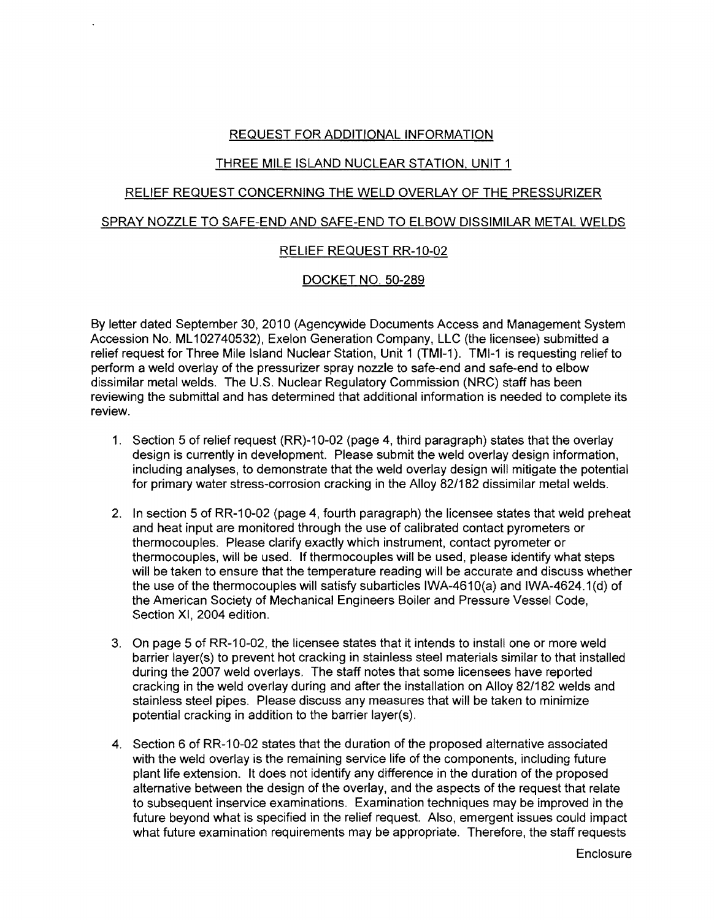# REQUEST FOR ADDITIONAL INFORMATION

# THREE MILE ISLAND NUCLEAR STATION, UNIT 1

# RELIEF REQUEST CONCERNING THE WELD OVERLAY OF THE PRESSURIZER

#### SPRAY NOZZLE TO SAFE-END AND SAFE-END TO ELBOW DISSIMILAR METAL WELDS

### RELIEF REQUEST RR-10-02

### DOCKET NO. 50-289

By letter dated September 30, 2010 (Agencywide Documents Access and Management System Accession No. ML 102740532), Exelon Generation Company, LLC (the licensee) submitted a relief request for Three Mile Island Nuclear Station, Unit 1 (TMI-1). TMI-1 is requesting relief to perform a weld overlay of the pressurizer spray nozzle to safe-end and safe-end to elbow dissimilar metal welds. The U.S. Nuclear Regulatory Commission (NRC) staff has been reviewing the submittal and has determined that additional information is needed to complete its review.

- 1. Section 5 of relief request (RR)-10-02 (page 4, third paragraph) states that the overlay design is currently in development. Please submit the weld overlay design information, including analyses, to demonstrate that the weld overlay design will mitigate the potential for primary water stress-corrosion cracking in the Alloy 82/182 dissimilar metal welds.
- 2. In section 5 of RR-10-02 (page 4, fourth paragraph) the licensee states that weld preheat and heat input are monitored through the use of calibrated contact pyrometers or thermocouples. Please clarify exactly which instrument, contact pyrometer or thermocouples, will be used. If thermocouples will be used, please identify what steps will be taken to ensure that the temperature reading will be accurate and discuss whether the use of the thermocouples will satisfy subarticles IWA-4610(a) and IWA-4624.1 (d) of the American Society of Mechanical Engineers Boiler and Pressure Vessel Code, Section XI, 2004 edition.
- 3. On page 5 of RR-10-02, the licensee states that it intends to install one or more weld barrier layer(s) to prevent hot cracking in stainless steel materials similar to that installed during the 2007 weld overlays. The staff notes that some licensees have reported cracking in the weld overlay during and after the installation on Alloy 82/182 welds and stainless steel pipes. Please discuss any measures that will be taken to minimize potential cracking in addition to the barrier layer(s).
- 4. Section 6 of RR-10-02 states that the duration of the proposed alternative associated with the weld overlay is the remaining service life of the components, including future plant life extension. It does not identify any difference in the duration of the proposed alternative between the design of the overlay, and the aspects of the request that relate to subsequent inservice examinations. Examination techniques may be improved in the future beyond what is specified in the relief request. Also, emergent issues could impact what future examination requirements may be appropriate. Therefore, the staff requests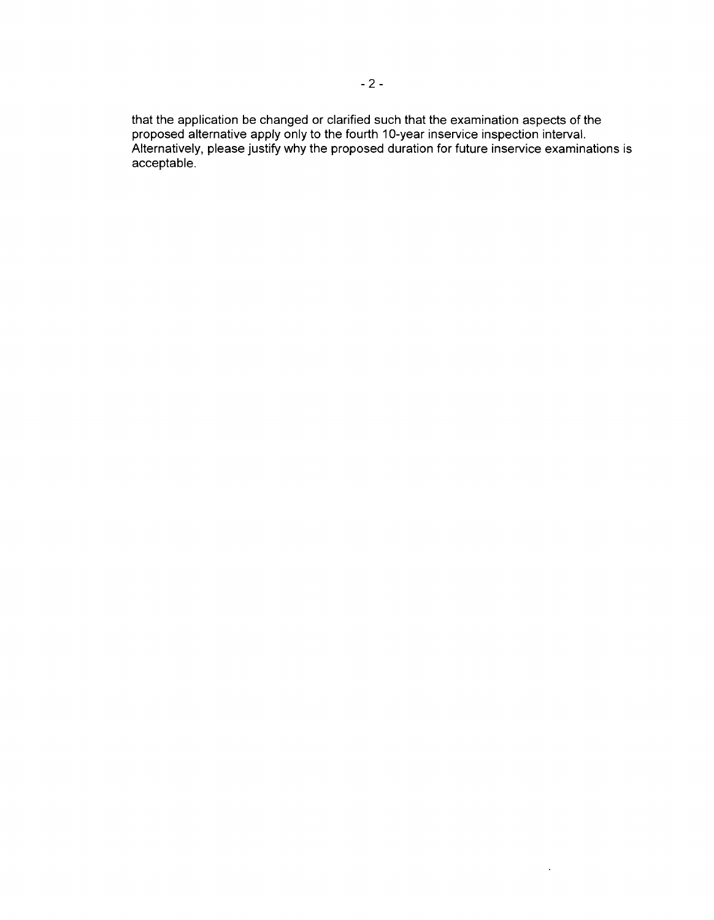that the application be changed or clarified such that the examination aspects of the proposed alternative apply only to the fourth 10-year inservice inspection interval. Alternatively, please justify why the proposed duration for future inservice examinations is acceptable.

 $\sim$